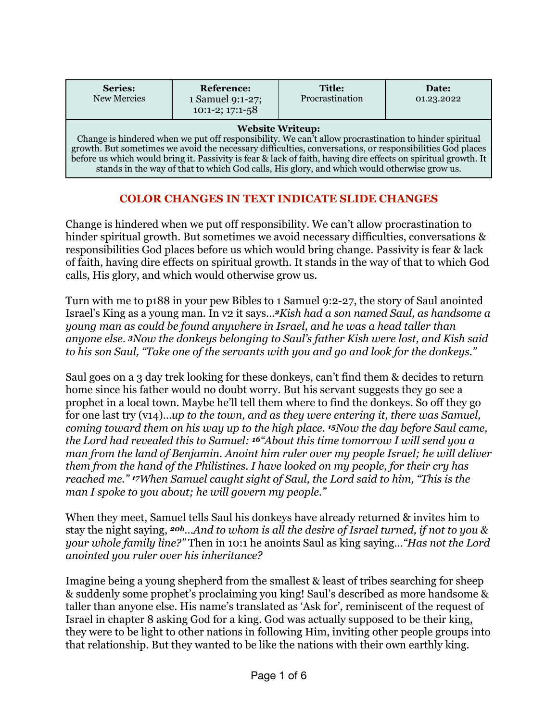| <b>Series:</b><br>New Mercies                                                                                                                                                                                                                                                                                                                                                                                                                                 | <b>Reference:</b><br>1 Samuel 9:1-27;<br>$10:1-2$ ; $17:1-58$ | <b>Title:</b><br>Procrastination | Date:<br>01.23.2022 |
|---------------------------------------------------------------------------------------------------------------------------------------------------------------------------------------------------------------------------------------------------------------------------------------------------------------------------------------------------------------------------------------------------------------------------------------------------------------|---------------------------------------------------------------|----------------------------------|---------------------|
| <b>Website Writeup:</b><br>Change is hindered when we put off responsibility. We can't allow procrastination to hinder spiritual<br>growth. But sometimes we avoid the necessary difficulties, conversations, or responsibilities God places<br>before us which would bring it. Passivity is fear & lack of faith, having dire effects on spiritual growth. It<br>stands in the way of that to which God calls, His glory, and which would otherwise grow us. |                                                               |                                  |                     |

## **COLOR CHANGES IN TEXT INDICATE SLIDE CHANGES**

Change is hindered when we put off responsibility. We can't allow procrastination to hinder spiritual growth. But sometimes we avoid necessary difficulties, conversations & responsibilities God places before us which would bring change. Passivity is fear & lack of faith, having dire effects on spiritual growth. It stands in the way of that to which God calls, His glory, and which would otherwise grow us.

Turn with me to p188 in your pew Bibles to 1 Samuel 9:2-27, the story of Saul anointed Israel's King as a young man. In v2 it says…*2Kish had a son named Saul, as handsome a young man as could be found anywhere in Israel, and he was a head taller than anyone else. 3Now the donkeys belonging to Saul's father Kish were lost, and Kish said to his son Saul, "Take one of the servants with you and go and look for the donkeys."* 

Saul goes on a 3 day trek looking for these donkeys, can't find them & decides to return home since his father would no doubt worry. But his servant suggests they go see a prophet in a local town. Maybe he'll tell them where to find the donkeys. So off they go for one last try (v14)…*up to the town, and as they were entering it, there was Samuel, coming toward them on his way up to the high place. 15Now the day before Saul came, the Lord had revealed this to Samuel: 16"About this time tomorrow I will send you a man from the land of Benjamin. Anoint him ruler over my people Israel; he will deliver them from the hand of the Philistines. I have looked on my people, for their cry has reached me." 17When Samuel caught sight of Saul, the Lord said to him, "This is the man I spoke to you about; he will govern my people."*

When they meet, Samuel tells Saul his donkeys have already returned & invites him to stay the night saying, *20b…And to whom is all the desire of Israel turned, if not to you & your whole family line?"* Then in 10:1 he anoints Saul as king saying…*"Has not the Lord anointed you ruler over his inheritance?*

Imagine being a young shepherd from the smallest & least of tribes searching for sheep & suddenly some prophet's proclaiming you king! Saul's described as more handsome & taller than anyone else. His name's translated as 'Ask for', reminiscent of the request of Israel in chapter 8 asking God for a king. God was actually supposed to be their king, they were to be light to other nations in following Him, inviting other people groups into that relationship. But they wanted to be like the nations with their own earthly king.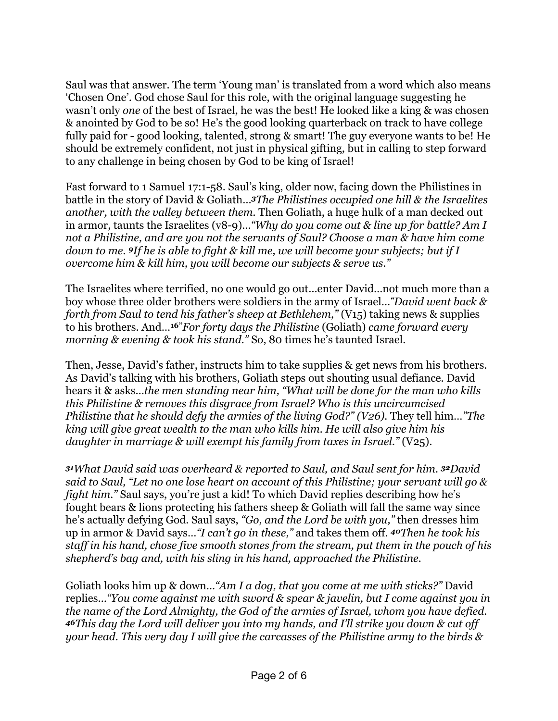Saul was that answer. The term 'Young man' is translated from a word which also means 'Chosen One'. God chose Saul for this role, with the original language suggesting he wasn't only *one* of the best of Israel, he was the best! He looked like a king & was chosen & anointed by God to be so! He's the good looking quarterback on track to have college fully paid for - good looking, talented, strong & smart! The guy everyone wants to be! He should be extremely confident, not just in physical gifting, but in calling to step forward to any challenge in being chosen by God to be king of Israel!

Fast forward to 1 Samuel 17:1-58. Saul's king, older now, facing down the Philistines in battle in the story of David & Goliath…*3The Philistines occupied one hill & the Israelites another, with the valley between them.* Then Goliath, a huge hulk of a man decked out in armor, taunts the Israelites (v8-9)…*"Why do you come out & line up for battle? Am I not a Philistine, and are you not the servants of Saul? Choose a man & have him come down to me. 9If he is able to fight & kill me, we will become your subjects; but if I overcome him & kill him, you will become our subjects & serve us."*

The Israelites where terrified, no one would go out…enter David…not much more than a boy whose three older brothers were soldiers in the army of Israel…*"David went back & forth from Saul to tend his father's sheep at Bethlehem,"* (V15) taking news & supplies to his brothers. And…**16"***For forty days the Philistine* (Goliath) *came forward every morning & evening & took his stand."* So, 80 times he's taunted Israel.

Then, Jesse, David's father, instructs him to take supplies & get news from his brothers. As David's talking with his brothers, Goliath steps out shouting usual defiance. David hears it & asks…*the men standing near him, "What will be done for the man who kills this Philistine & removes this disgrace from Israel? Who is this uncircumcised Philistine that he should defy the armies of the living God?" (V26). They tell him..."The king will give great wealth to the man who kills him. He will also give him his daughter in marriage & will exempt his family from taxes in Israel."* (V25).

*<sup>31</sup>What David said was overheard & reported to Saul, and Saul sent for him. 32David said to Saul, "Let no one lose heart on account of this Philistine; your servant will go & fight him.*" Saul says, you're just a kid! To which David replies describing how he's fought bears & lions protecting his fathers sheep & Goliath will fall the same way since he's actually defying God. Saul says, *"Go, and the Lord be with you,"* then dresses him up in armor & David says…*"I can't go in these,"* and takes them off. *40Then he took his staff in his hand, chose five smooth stones from the stream, put them in the pouch of his shepherd's bag and, with his sling in his hand, approached the Philistine.*

Goliath looks him up & down…*"Am I a dog, that you come at me with sticks?"* David replies…*"You come against me with sword & spear & javelin, but I come against you in the name of the Lord Almighty, the God of the armies of Israel, whom you have defied. <sup>46</sup>This day the Lord will deliver you into my hands, and I'll strike you down & cut off your head. This very day I will give the carcasses of the Philistine army to the birds &*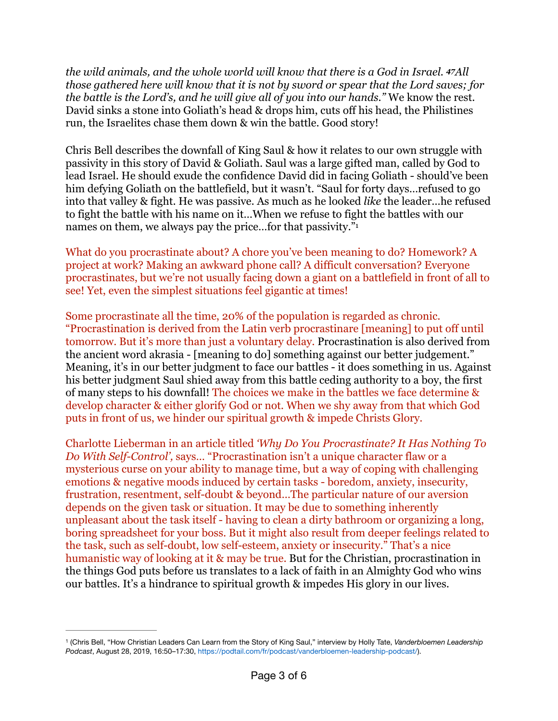*the wild animals, and the whole world will know that there is a God in Israel. 47All those gathered here will know that it is not by sword or spear that the Lord saves; for the battle is the Lord's, and he will give all of you into our hands."* We know the rest. David sinks a stone into Goliath's head & drops him, cuts off his head, the Philistines run, the Israelites chase them down & win the battle. Good story!

Chris Bell describes the downfall of King Saul & how it relates to our own struggle with passivity in this story of David & Goliath. Saul was a large gifted man, called by God to lead Israel. He should exude the confidence David did in facing Goliath - should've been him defying Goliath on the battlefield, but it wasn't. "Saul for forty days…refused to go into that valley & fight. He was passive. As much as he looked *like* the leader…he refused to fight the battle with his name on it…When we refuse to fight the battles with our names on them, we always pay the price...for that passivity."

<span id="page-2-1"></span>What do you procrastinate about? A chore you've been meaning to do? Homework? A project at work? Making an awkward phone call? A difficult conversation? Everyone procrastinates, but we're not usually facing down a giant on a battlefield in front of all to see! Yet, even the simplest situations feel gigantic at times!

Some procrastinate all the time, 20% of the population is regarded as chronic. "Procrastination is derived from the Latin verb procrastinare [meaning] to put off until tomorrow. But it's more than just a voluntary delay. Procrastination is also derived from the ancient word akrasia - [meaning to do] something against our better judgement." Meaning, it's in our better judgment to face our battles - it does something in us. Against his better judgment Saul shied away from this battle ceding authority to a boy, the first of many steps to his downfall! The choices we make in the battles we face determine & develop character & either glorify God or not. When we shy away from that which God puts in front of us, we hinder our spiritual growth & impede Christs Glory.

Charlotte Lieberman in an article titled *'Why Do You Procrastinate? It Has Nothing To Do With Self-Control',* says… "Procrastination isn't a unique character flaw or a mysterious curse on your ability to manage time, but a way of coping with challenging emotions & negative moods induced by certain tasks - boredom, anxiety, insecurity, frustration, resentment, self-doubt & beyond…The particular nature of our aversion depends on the given task or situation. It may be due to something inherently unpleasant about the task itself - having to clean a dirty bathroom or organizing a long, boring spreadsheet for your boss. But it might also result from deeper feelings related to the task, such as self-doubt, low self-esteem, anxiety or insecurity." That's a nice humanistic way of looking at it & may be true. But for the Christian, procrastination in the things God puts before us translates to a lack of faith in an Almighty God who wins our battles. It's a hindrance to spiritual growth & impedes His glory in our lives.

<span id="page-2-0"></span> <sup>(</sup>Chris Bell, "How Christian Leaders Can Learn from the Story of King Saul," interview by Holly Tate, *Vanderbloemen Leadership* [1](#page-2-1) *Podcast*, August 28, 2019, 16:50–17:30, https://podtail.com/fr/podcast/vanderbloemen-leadership-podcast/).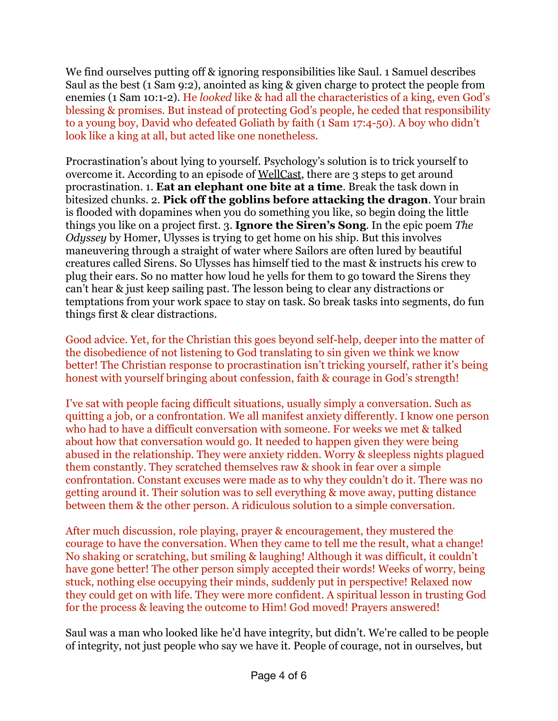We find ourselves putting off & ignoring responsibilities like Saul. 1 Samuel describes Saul as the best (1 Sam 9:2), anointed as king & given charge to protect the people from enemies (1 Sam 10:1-2). He *looked* like & had all the characteristics of a king, even God's blessing & promises. But instead of protecting God's people, he ceded that responsibility to a young boy, David who defeated Goliath by faith (1 Sam 17:4-50). A boy who didn't look like a king at all, but acted like one nonetheless.

Procrastination's about lying to yourself. Psychology's solution is to trick yourself to overcome it. According to an episode of [WellCast,](https://www.youtube.com/watch?v=Qvcx7Y4caQE) there are 3 steps to get around procrastination. 1. **Eat an elephant one bite at a time**. Break the task down in bitesized chunks. 2. **Pick off the goblins before attacking the dragon**. Your brain is flooded with dopamines when you do something you like, so begin doing the little things you like on a project first. 3. **Ignore the Siren's Song**. In the epic poem *The Odyssey* by Homer, Ulysses is trying to get home on his ship. But this involves maneuvering through a straight of water where Sailors are often lured by beautiful creatures called Sirens. So Ulysses has himself tied to the mast & instructs his crew to plug their ears. So no matter how loud he yells for them to go toward the Sirens they can't hear & just keep sailing past. The lesson being to clear any distractions or temptations from your work space to stay on task. So break tasks into segments, do fun things first & clear distractions.

Good advice. Yet, for the Christian this goes beyond self-help, deeper into the matter of the disobedience of not listening to God translating to sin given we think we know better! The Christian response to procrastination isn't tricking yourself, rather it's being honest with yourself bringing about confession, faith & courage in God's strength!

I've sat with people facing difficult situations, usually simply a conversation. Such as quitting a job, or a confrontation. We all manifest anxiety differently. I know one person who had to have a difficult conversation with someone. For weeks we met & talked about how that conversation would go. It needed to happen given they were being abused in the relationship. They were anxiety ridden. Worry & sleepless nights plagued them constantly. They scratched themselves raw & shook in fear over a simple confrontation. Constant excuses were made as to why they couldn't do it. There was no getting around it. Their solution was to sell everything & move away, putting distance between them & the other person. A ridiculous solution to a simple conversation.

After much discussion, role playing, prayer & encouragement, they mustered the courage to have the conversation. When they came to tell me the result, what a change! No shaking or scratching, but smiling & laughing! Although it was difficult, it couldn't have gone better! The other person simply accepted their words! Weeks of worry, being stuck, nothing else occupying their minds, suddenly put in perspective! Relaxed now they could get on with life. They were more confident. A spiritual lesson in trusting God for the process & leaving the outcome to Him! God moved! Prayers answered!

Saul was a man who looked like he'd have integrity, but didn't. We're called to be people of integrity, not just people who say we have it. People of courage, not in ourselves, but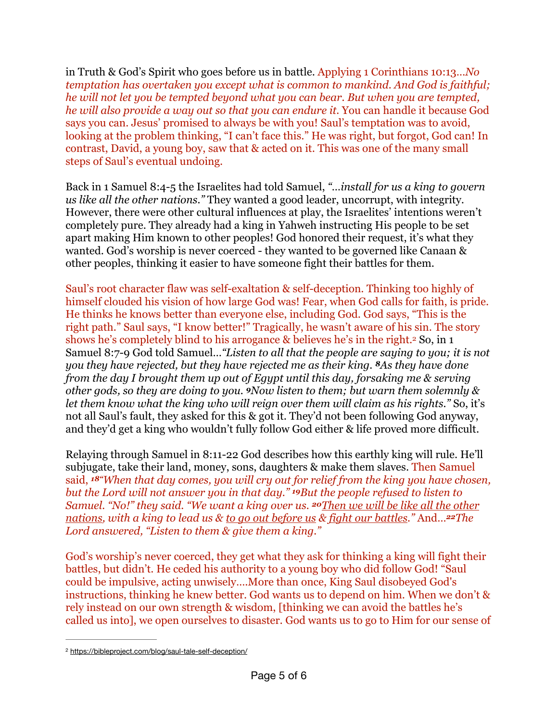in Truth & God's Spirit who goes before us in battle. Applying 1 Corinthians 10:13…*No temptation has overtaken you except what is common to mankind. And God is faithful; he will not let you be tempted beyond what you can bear. But when you are tempted, he will also provide a way out so that you can endure it.* You can handle it because God says you can. Jesus' promised to always be with you! Saul's temptation was to avoid, looking at the problem thinking, "I can't face this." He was right, but forgot, God can! In contrast, David, a young boy, saw that & acted on it. This was one of the many small steps of Saul's eventual undoing.

Back in 1 Samuel 8:4-5 the Israelites had told Samuel, *"…install for us a king to govern us like all the other nations."* They wanted a good leader, uncorrupt, with integrity. However, there were other cultural influences at play, the Israelites' intentions weren't completely pure. They already had a king in Yahweh instructing His people to be set apart making Him known to other peoples! God honored their request, it's what they wanted. God's worship is never coerced - they wanted to be governed like Canaan & other peoples, thinking it easier to have someone fight their battles for them.

<span id="page-4-1"></span>Saul's root character flaw was self-exaltation & self-deception. Thinking too highly of himself clouded his vision of how large God was! Fear, when God calls for faith, is pride. He thinks he knows better than everyone else, including God. God says, "This is the right path." Saul says, "I know better!" Tragically, he wasn't aware of his sin. The story shows he's completely blind to his arrogance  $\&$  believes he's in the right.<sup>[2](#page-4-0)</sup> So, in 1 Samuel 8:7-9 God told Samuel…*"Listen to all that the people are saying to you; it is not you they have rejected, but they have rejected me as their king. 8As they have done from the day I brought them up out of Egypt until this day, forsaking me & serving other gods, so they are doing to you. 9Now listen to them; but warn them solemnly & let them know what the king who will reign over them will claim as his rights."* So, it's not all Saul's fault, they asked for this & got it. They'd not been following God anyway, and they'd get a king who wouldn't fully follow God either & life proved more difficult.

Relaying through Samuel in 8:11-22 God describes how this earthly king will rule. He'll subjugate, take their land, money, sons, daughters & make them slaves. Then Samuel said, *18"When that day comes, you will cry out for relief from the king you have chosen, but the Lord will not answer you in that day." 19But the people refused to listen to Samuel. "No!" they said. "We want a king over us. 20Then we will be like all the other nations, with a king to lead us & to go out before us & fight our battles."* And…*22The Lord answered, "Listen to them & give them a king."*

God's worship's never coerced, they get what they ask for thinking a king will fight their battles, but didn't. He ceded his authority to a young boy who did follow God! "Saul could be impulsive, acting unwisely….More than once, King Saul disobeyed God's instructions, thinking he knew better. God wants us to depend on him. When we don't & rely instead on our own strength & wisdom, [thinking we can avoid the battles he's called us into], we open ourselves to disaster. God wants us to go to Him for our sense of

<span id="page-4-0"></span><sup>&</sup>lt;sup>2</sup> <https://bibleproject.com/blog/saul-tale-self-deception/>